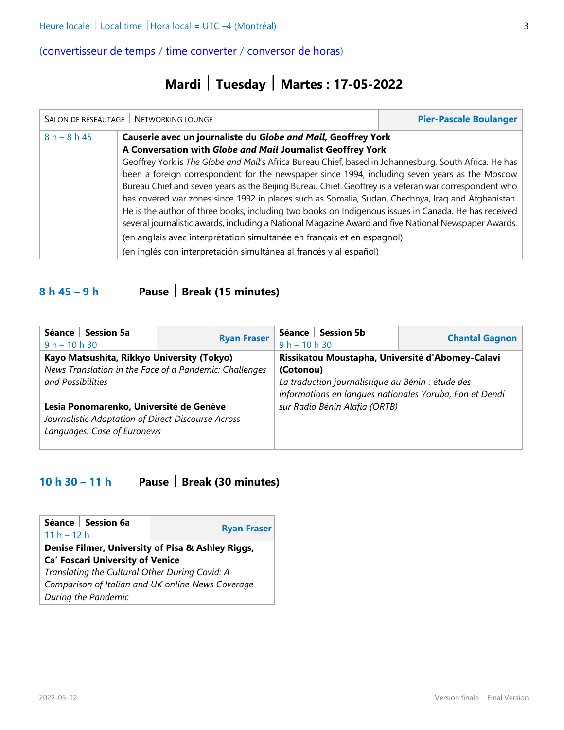# **Mardi Tuesday Martes : 17-05-2022**

|                | SALON DE RÉSEAUTAGE   NETWORKING LOUNGE                                                                                                                                                                                                                                                                                                                                                                                                                                                                                                                                                                                                                                                                                                                                                                                                                                                                                | <b>Pier-Pascale Boulanger</b> |
|----------------|------------------------------------------------------------------------------------------------------------------------------------------------------------------------------------------------------------------------------------------------------------------------------------------------------------------------------------------------------------------------------------------------------------------------------------------------------------------------------------------------------------------------------------------------------------------------------------------------------------------------------------------------------------------------------------------------------------------------------------------------------------------------------------------------------------------------------------------------------------------------------------------------------------------------|-------------------------------|
| $8 h - 8 h 45$ | Causerie avec un journaliste du Globe and Mail, Geoffrey York<br>A Conversation with Globe and Mail Journalist Geoffrey York<br>Geoffrey York is The Globe and Mail's Africa Bureau Chief, based in Johannesburg, South Africa. He has<br>been a foreign correspondent for the newspaper since 1994, including seven years as the Moscow<br>Bureau Chief and seven years as the Beijing Bureau Chief. Geoffrey is a veteran war correspondent who<br>has covered war zones since 1992 in places such as Somalia, Sudan, Chechnya, Iraq and Afghanistan.<br>He is the author of three books, including two books on Indigenous issues in Canada. He has received<br>several journalistic awards, including a National Magazine Award and five National Newspaper Awards.<br>(en anglais avec interprétation simultanée en français et en espagnol)<br>(en inglés con interpretación simultánea al francés y al español) |                               |

## **8 h 45 – 9 h Pause Break (15 minutes)**

| Séance   Session 5a<br>$9 h - 10 h 30$                                                                                       | <b>Ryan Fraser</b> | $9 h - 10 h 30$                                                                                              | Séance   Session 5b                              | <b>Chantal Gagnon</b> |  |
|------------------------------------------------------------------------------------------------------------------------------|--------------------|--------------------------------------------------------------------------------------------------------------|--------------------------------------------------|-----------------------|--|
| Kayo Matsushita, Rikkyo University (Tokyo)                                                                                   |                    |                                                                                                              | Rissikatou Moustapha, Université d'Abomey-Calavi |                       |  |
| News Translation in the Face of a Pandemic: Challenges                                                                       |                    |                                                                                                              | (Cotonou)                                        |                       |  |
| and Possibilities                                                                                                            |                    | La traduction journalistique au Bénin : étude des<br>informations en langues nationales Yoruba, Fon et Dendi |                                                  |                       |  |
| Lesia Ponomarenko, Université de Genève<br>Journalistic Adaptation of Direct Discourse Across<br>Languages: Case of Euronews |                    | sur Radio Bénin Alafia (ORTB)                                                                                |                                                  |                       |  |
|                                                                                                                              |                    |                                                                                                              |                                                  |                       |  |

### **10 h 30 – 11 h Pause Break (30 minutes)**

| Séance   Session 6a<br>$11 h - 12 h$              | <b>Ryan Fraser</b> |  |
|---------------------------------------------------|--------------------|--|
| Denise Filmer, University of Pisa & Ashley Riggs, |                    |  |
| <b>Ca' Foscari University of Venice</b>           |                    |  |
| Translating the Cultural Other During Covid: A    |                    |  |
| Comparison of Italian and UK online News Coverage |                    |  |
| During the Pandemic                               |                    |  |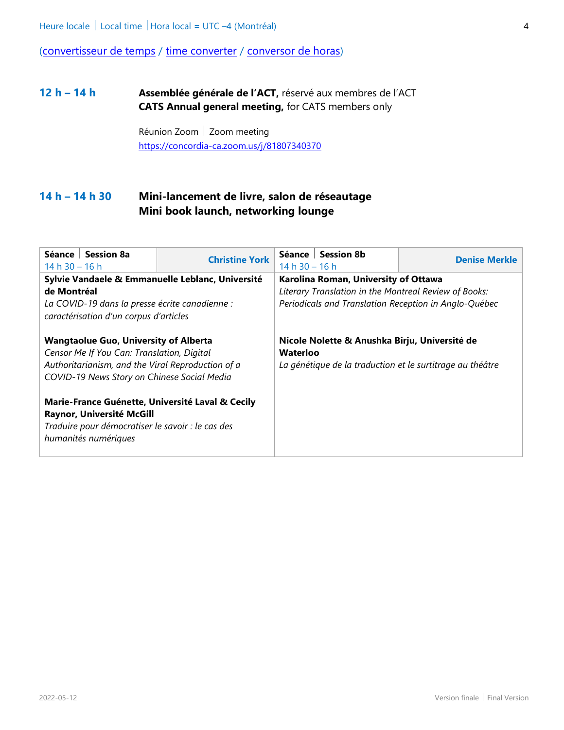#### **12 h – 14 h Assemblée générale de l'ACT,** réservé aux membres de l'ACT **CATS Annual general meeting,** for CATS members only

Réunion Zoom | Zoom meeting [https://concordia-ca.zoom.us/j/81807340370](https://can01.safelinks.protection.outlook.com/?url=https%3A%2F%2Fconcordia-ca.zoom.us%2Fj%2F81807340370&data=05%7C01%7Cchantal.gagnon.4%40umontreal.ca%7Cb83c5da7907a43df1f4108da22689338%7Cd27eefec2a474be7981e0f8977fa31d8%7C1%7C0%7C637860129784768919%7CUnknown%7CTWFpbGZsb3d8eyJWIjoiMC4wLjAwMDAiLCJQIjoiV2luMzIiLCJBTiI6Ik1haWwiLCJXVCI6Mn0%3D%7C3000%7C%7C%7C&sdata=DLGAFI77YmS30kHeZoZ6c1vSoun03zyuVBSiby7rADE%3D&reserved=0)

#### **14 h – 14 h 30 Mini-lancement de livre, salon de réseautage Mini book launch, networking lounge**

| Séance   Session 8a<br>$14 h 30 - 16 h$                                                                                                                                                        | <b>Christine York</b>                            | $14 h 30 - 16 h$                                      | Séance   Session 8b                  | <b>Denise Merkle</b> |
|------------------------------------------------------------------------------------------------------------------------------------------------------------------------------------------------|--------------------------------------------------|-------------------------------------------------------|--------------------------------------|----------------------|
|                                                                                                                                                                                                | Sylvie Vandaele & Emmanuelle Leblanc, Université |                                                       | Karolina Roman, University of Ottawa |                      |
| de Montréal                                                                                                                                                                                    |                                                  | Literary Translation in the Montreal Review of Books: |                                      |                      |
| La COVID-19 dans la presse écrite canadienne :<br>caractérisation d'un corpus d'articles                                                                                                       |                                                  | Periodicals and Translation Reception in Anglo-Québec |                                      |                      |
| <b>Wangtaolue Guo, University of Alberta</b><br>Censor Me If You Can: Translation, Digital<br>Authoritarianism, and the Viral Reproduction of a<br>COVID-19 News Story on Chinese Social Media |                                                  |                                                       |                                      |                      |
| Marie-France Guénette, Université Laval & Cecily<br>Raynor, Université McGill<br>Traduire pour démocratiser le savoir : le cas des<br>humanités numériques                                     |                                                  |                                                       |                                      |                      |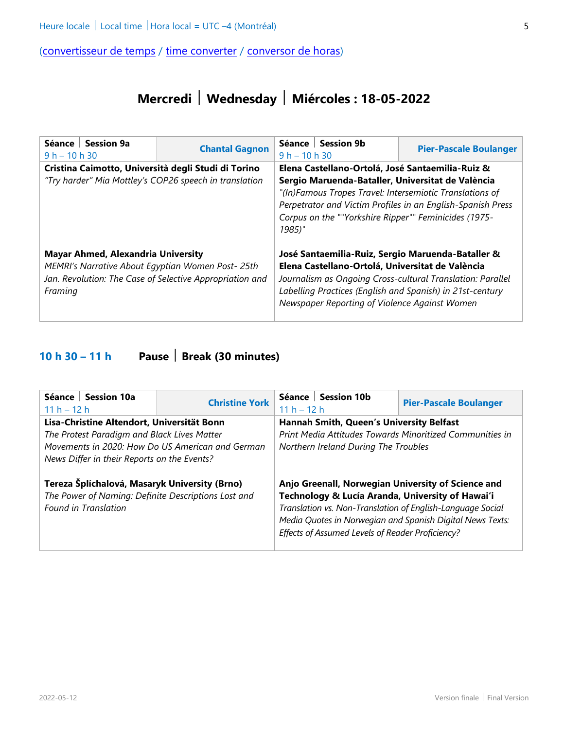# **Mercredi Wednesday Miércoles : 18-05-2022**

| Séance   Session 9a<br>$9 h - 10 h 30$                                                                                                                                | <b>Chantal Gagnon</b>                               | Séance   Session 9b<br>$9 h - 10 h 30$                                                                                                                                                                                                                                            |                                                  | <b>Pier-Pascale Boulanger</b> |  |
|-----------------------------------------------------------------------------------------------------------------------------------------------------------------------|-----------------------------------------------------|-----------------------------------------------------------------------------------------------------------------------------------------------------------------------------------------------------------------------------------------------------------------------------------|--------------------------------------------------|-------------------------------|--|
|                                                                                                                                                                       | Cristina Caimotto, Università degli Studi di Torino |                                                                                                                                                                                                                                                                                   | Elena Castellano-Ortolá, José Santaemilia-Ruiz & |                               |  |
| "Try harder" Mia Mottley's COP26 speech in translation                                                                                                                |                                                     | Sergio Maruenda-Bataller, Universitat de València<br>"(In)Famous Tropes Travel: Intersemiotic Translations of<br>Perpetrator and Victim Profiles in an English-Spanish Press<br>Corpus on the ""Yorkshire Ripper"" Feminicides (1975-<br>1985)"                                   |                                                  |                               |  |
| <b>Mayar Ahmed, Alexandria University</b><br>MEMRI's Narrative About Egyptian Women Post- 25th<br>Jan. Revolution: The Case of Selective Appropriation and<br>Framing |                                                     | José Santaemilia-Ruiz, Sergio Maruenda-Bataller &<br>Elena Castellano-Ortolá, Universitat de València<br>Journalism as Ongoing Cross-cultural Translation: Parallel<br>Labelling Practices (English and Spanish) in 21st-century<br>Newspaper Reporting of Violence Against Women |                                                  |                               |  |

### **10 h 30 – 11 h Pause Break (30 minutes)**

| Séance   Session 10a<br>$11 h - 12 h$                                                                                                                                                        | <b>Christine York</b>                                                                                                                                                                                                                                                                 | $11 h - 12 h$ | Séance   Session 10b                                                                                                                         | <b>Pier-Pascale Boulanger</b> |  |
|----------------------------------------------------------------------------------------------------------------------------------------------------------------------------------------------|---------------------------------------------------------------------------------------------------------------------------------------------------------------------------------------------------------------------------------------------------------------------------------------|---------------|----------------------------------------------------------------------------------------------------------------------------------------------|-------------------------------|--|
| Lisa-Christine Altendort, Universität Bonn<br>The Protest Paradigm and Black Lives Matter<br>Movements in 2020: How Do US American and German<br>News Differ in their Reports on the Events? |                                                                                                                                                                                                                                                                                       |               | Hannah Smith, Queen's University Belfast<br>Print Media Attitudes Towards Minoritized Communities in<br>Northern Ireland During The Troubles |                               |  |
| Tereza Šplíchalová, Masaryk University (Brno)<br>The Power of Naming: Definite Descriptions Lost and<br><b>Found in Translation</b>                                                          | Anjo Greenall, Norwegian University of Science and<br>Technology & Lucía Aranda, University of Hawai'i<br>Translation vs. Non-Translation of English-Language Social<br>Media Quotes in Norwegian and Spanish Digital News Texts:<br>Effects of Assumed Levels of Reader Proficiency? |               |                                                                                                                                              |                               |  |